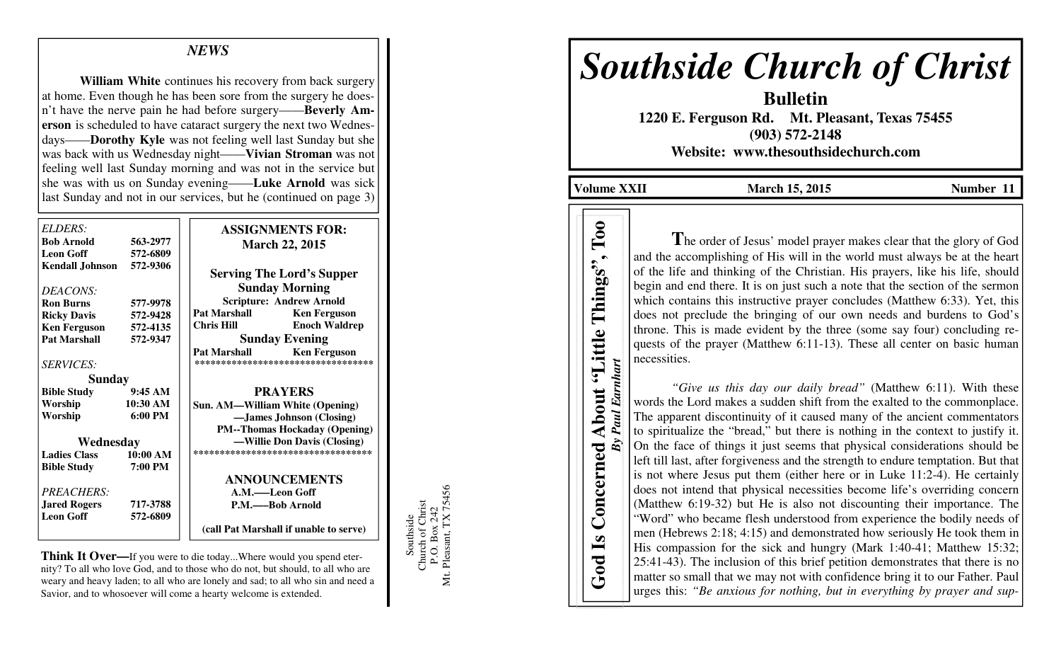# *NEWS*

**William White** continues his recovery from back surgery at home. Even though he has been sore from the surgery he doesn't have the nerve pain he had before surgery——**Beverly Amerson** is scheduled to have cataract surgery the next two Wednesdays——**Dorothy Kyle** was not feeling well last Sunday but she was back with us Wednesday night——**Vivian Stroman** was not feeling well last Sunday morning and was not in the service but she was with us on Sunday evening——**Luke Arnold** was sick last Sunday and not in our services, but he (continued on page 3)

| ELDERS:                |                   | <b>ASSIGNMENTS FOR:</b>                    |
|------------------------|-------------------|--------------------------------------------|
| <b>Bob Arnold</b>      | 563-2977          | <b>March 22, 2015</b>                      |
| <b>Leon Goff</b>       | 572-6809          |                                            |
| <b>Kendall Johnson</b> | 572-9306          | <b>Serving The Lord's Supper</b>           |
| DEACONS:               |                   | <b>Sunday Morning</b>                      |
| <b>Ron Burns</b>       | 577-9978          | <b>Scripture: Andrew Arnold</b>            |
| <b>Ricky Davis</b>     | 572-9428          | <b>Pat Marshall</b><br><b>Ken Ferguson</b> |
| <b>Ken Ferguson</b>    | 572-4135          | <b>Chris Hill</b><br><b>Enoch Waldrep</b>  |
| <b>Pat Marshall</b>    | 572-9347          | <b>Sunday Evening</b>                      |
|                        |                   | <b>Pat Marshall</b><br><b>Ken Ferguson</b> |
| <b>SERVICES:</b>       |                   | **********************************         |
| Sunday                 |                   |                                            |
| <b>Bible Study</b>     | 9:45AM            | <b>PRAYERS</b>                             |
| Worship                | 10:30 AM          | Sun. AM—William White (Opening)            |
| Worship                | $6:00 \text{ PM}$ | -James Johnson (Closing)                   |
|                        |                   | <b>PM--Thomas Hockaday (Opening)</b>       |
| Wednesday              |                   | -Willie Don Davis (Closing)                |
| <b>Ladies Class</b>    | 10:00 AM          | ***********************************        |
| <b>Bible Study</b>     | 7:00 PM           |                                            |
|                        |                   | <b>ANNOUNCEMENTS</b>                       |
| <b>PREACHERS:</b>      |                   | A.M.——Leon Goff                            |
| <b>Jared Rogers</b>    | 717-3788          | P.M.——Bob Arnold                           |
| <b>Leon Goff</b>       | 572-6809          |                                            |
|                        |                   | (call Pat Marshall if unable to serve)     |

**Think It Over—**If you were to die today...Where would you spend eternity? To all who love God, and to those who do not, but should, to all who are weary and heavy laden; to all who are lonely and sad; to all who sin and need a Savior, and to whosoever will come a hearty welcome is extended.

Southside<br>Church of Christ<br>P.O. Box 242<br>t. Pleasant, TX 75456 Mt. Pleasant, TX 75456 Church of Christ P.O. Box 242 Mt.

Southside

# *Southside Church of Christ*

**Bulletin 1220 E. Ferguson Rd. Mt. Pleasant, Texas 75455 (903) 572-2148 Website: www.thesouthsidechurch.com** 

**Volume XXII** March 15, 2015 **Number 11** 

**God Is Concerned About "Little Things", Too** *By Paul Earnhart* 

Concerned

God Is

By Paul Earnhart

About "Little Things",

Too

**T**he order of Jesus' model prayer makes clear that the glory of God and the accomplishing of His will in the world must always be at the heart of the life and thinking of the Christian. His prayers, like his life, should begin and end there. It is on just such a note that the section of the sermon which contains this instructive prayer concludes (Matthew 6:33). Yet, this does not preclude the bringing of our own needs and burdens to God's throne. This is made evident by the three (some say four) concluding requests of the prayer (Matthew 6:11-13). These all center on basic human necessities.

*"Give us this day our daily bread"* (Matthew 6:11). With these words the Lord makes a sudden shift from the exalted to the commonplace. The apparent discontinuity of it caused many of the ancient commentators to spiritualize the "bread," but there is nothing in the context to justify it. On the face of things it just seems that physical considerations should be left till last, after forgiveness and the strength to endure temptation. But that is not where Jesus put them (either here or in Luke 11:2-4). He certainly does not intend that physical necessities become life's overriding concern (Matthew 6:19-32) but He is also not discounting their importance. The "Word" who became flesh understood from experience the bodily needs of men (Hebrews 2:18; 4:15) and demonstrated how seriously He took them in His compassion for the sick and hungry (Mark 1:40-41; Matthew 15:32; 25:41-43). The inclusion of this brief petition demonstrates that there is no matter so small that we may not with confidence bring it to our Father. Paul urges this: *"Be anxious for nothing, but in everything by prayer and sup-*